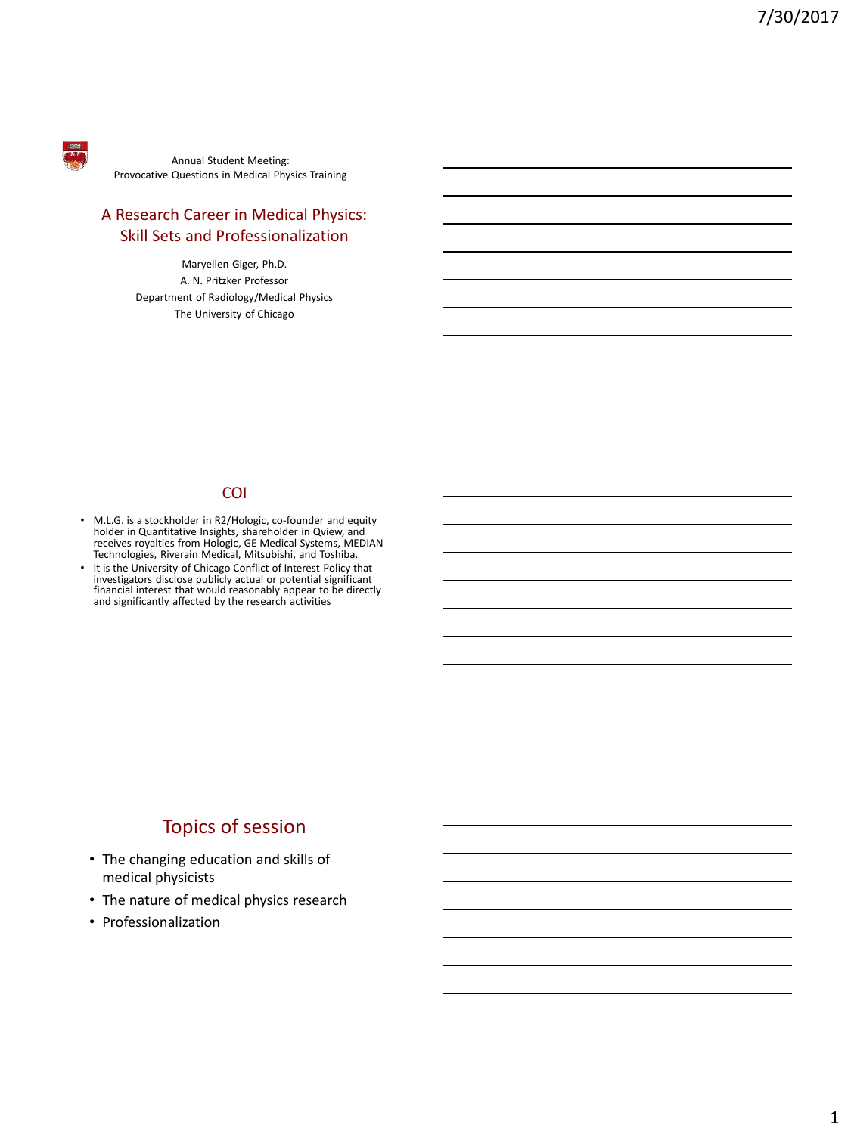

Annual Student Meeting: Provocative Questions in Medical Physics Training

### A Research Career in Medical Physics: Skill Sets and Professionalization

Maryellen Giger, Ph.D. A. N. Pritzker Professor Department of Radiology/Medical Physics The University of Chicago

#### COI

- M.L.G. is a stockholder in R2/Hologic, co-founder and equity holder in Quantitative Insights, shareholder in Qview, and receives royalties from Hologic, GE Medical Systems, MEDIAN Technologies, Riverain Medical, Mitsubishi, and Toshiba.
- It is the University of Chicago Conflict of Interest Policy that<br>investigators disclose publicly actual or potential significant<br>financial interest that would reasonably appear to be directly<br>and significantly affected by

## Topics of session

- The changing education and skills of medical physicists
- The nature of medical physics research
- Professionalization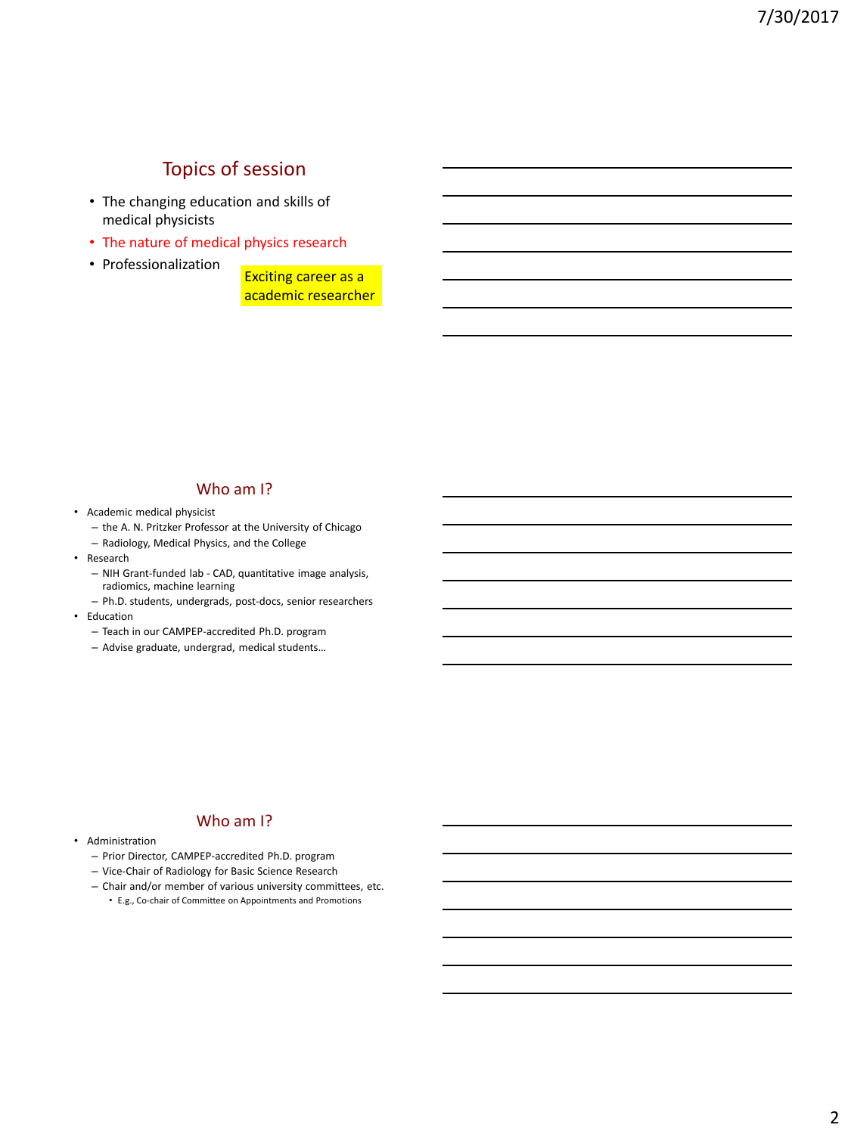# Topics of session

- The changing education and skills of medical physicists
- The nature of medical physics research
- Professionalization

Exciting career as a academic researcher

#### Who am I?

- Academic medical physicist
	- the A. N. Pritzker Professor at the University of Chicago
	- Radiology, Medical Physics, and the College
- Research
	- NIH Grant-funded lab CAD, quantitative image analysis, radiomics, machine learning
	- Ph.D. students, undergrads, post-docs, senior researchers
- Education
	- Teach in our CAMPEP-accredited Ph.D. program
	- Advise graduate, undergrad, medical students…

#### Who am I?

- Administration
	- Prior Director, CAMPEP-accredited Ph.D. program
	- Vice-Chair of Radiology for Basic Science Research
	- Chair and/or member of various university committees, etc.
		- E.g., Co-chair of Committee on Appointments and Promotions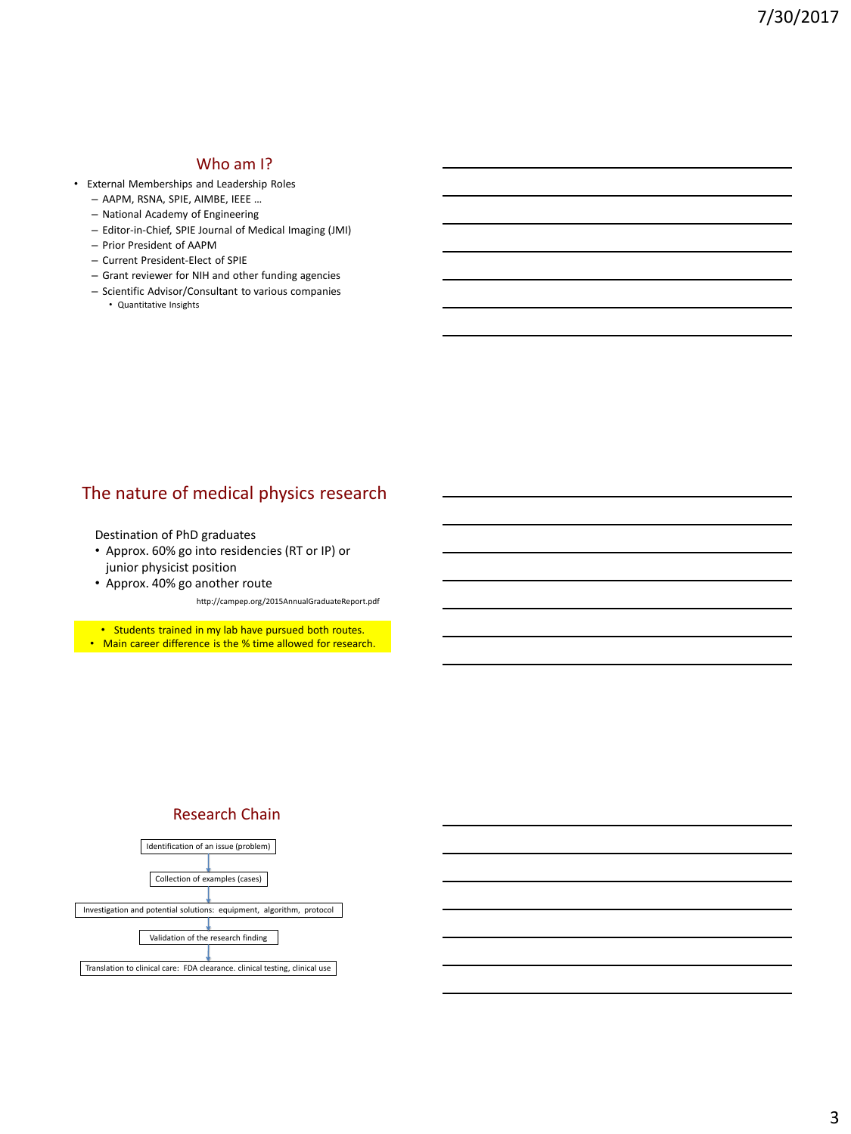### Who am I?

- External Memberships and Leadership Roles
	- AAPM, RSNA, SPIE, AIMBE, IEEE …
	- National Academy of Engineering
	- Editor-in-Chief, SPIE Journal of Medical Imaging (JMI)
	- Prior President of AAPM
	- Current President-Elect of SPIE
	- Grant reviewer for NIH and other funding agencies
	- Scientific Advisor/Consultant to various companies • Quantitative Insights

## The nature of medical physics research

Destination of PhD graduates

- Approx. 60% go into residencies (RT or IP) or junior physicist position
- Approx. 40% go another route

http://campep.org/2015AnnualGraduateReport.pdf

• Students trained in my lab have pursued both routes.

• Main career difference is the % time allowed for research.

#### Research Chain

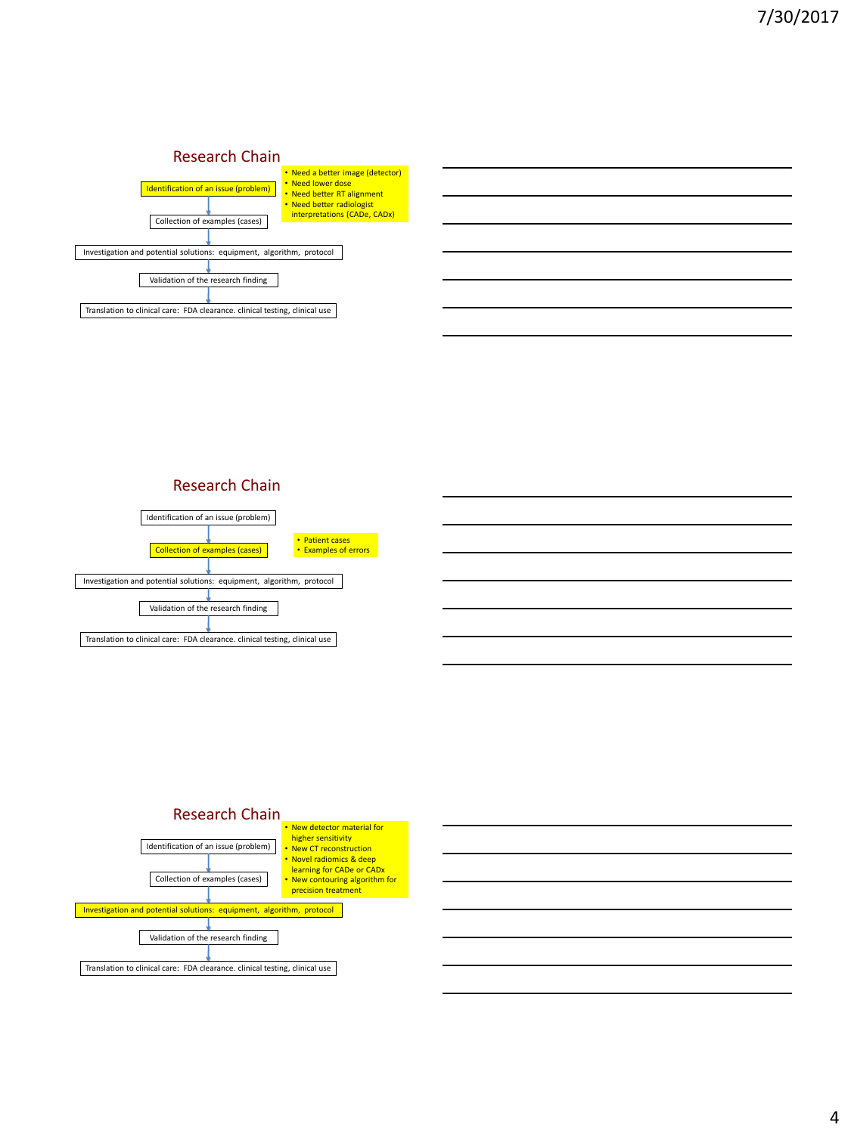#### Research Chain



### Research Chain





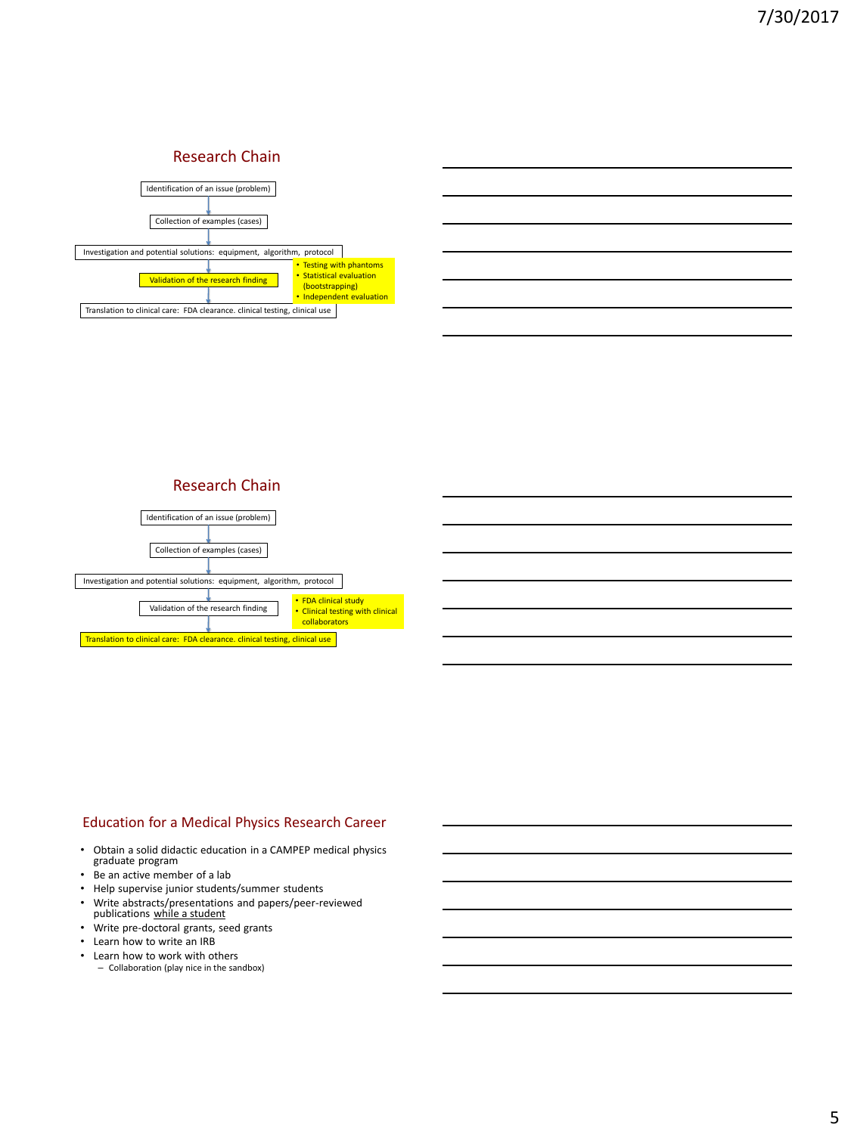#### Research Chain

| Identification of an issue (problem)                                        |                                                                                                    |
|-----------------------------------------------------------------------------|----------------------------------------------------------------------------------------------------|
| Collection of examples (cases)                                              |                                                                                                    |
| Investigation and potential solutions: equipment, algorithm, protocol       |                                                                                                    |
| Validation of the research finding                                          | • Testing with phantoms<br>• Statistical evaluation<br>(bootstrapping)<br>• Independent evaluation |
| Translation to clinical care: FDA clearance. clinical testing, clinical use |                                                                                                    |

### Research Chain



#### Education for a Medical Physics Research Career

- Obtain a solid didactic education in a CAMPEP medical physics graduate program
- Be an active member of a lab
- Help supervise junior students/summer students
- Write abstracts/presentations and papers/peer-reviewed publications while a student
- Write pre-doctoral grants, seed grants
- Learn how to write an IRB
- Learn how to work with others
	- Collaboration (play nice in the sandbox)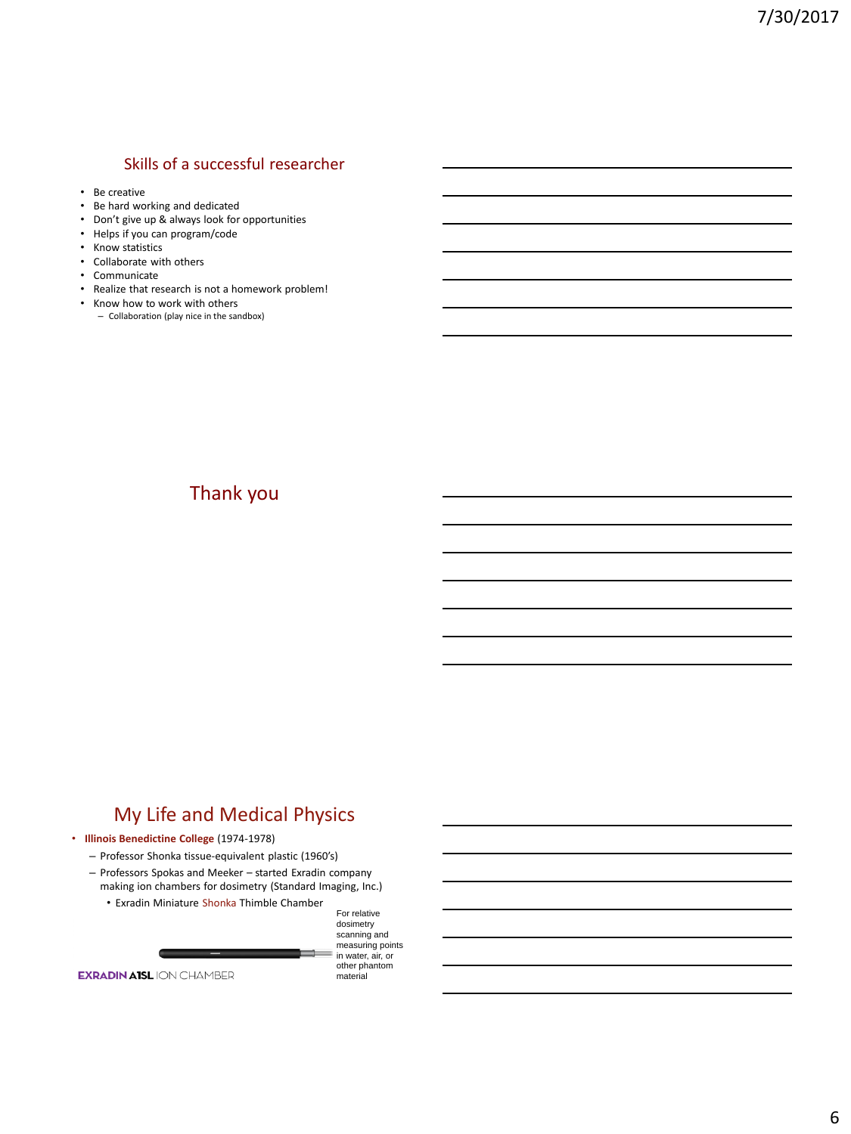### Skills of a successful researcher

- Be creative
- Be hard working and dedicated
- Don't give up & always look for opportunities
- Helps if you can program/code
- Know statistics
- Collaborate with others
- Communicate
- Realize that research is not a homework problem!
- Know how to work with others – Collaboration (play nice in the sandbox)

## Thank you

## My Life and Medical Physics

#### • **Illinois Benedictine College** (1974-1978)

- Professor Shonka tissue-equivalent plastic (1960's)
- Professors Spokas and Meeker started Exradin company making ion chambers for dosimetry (Standard Imaging, Inc.)
	- Exradin Miniature Shonka Thimble Chamber



**EXRADIN AISL ION CHAMBER** 

in water, air, or other phantom material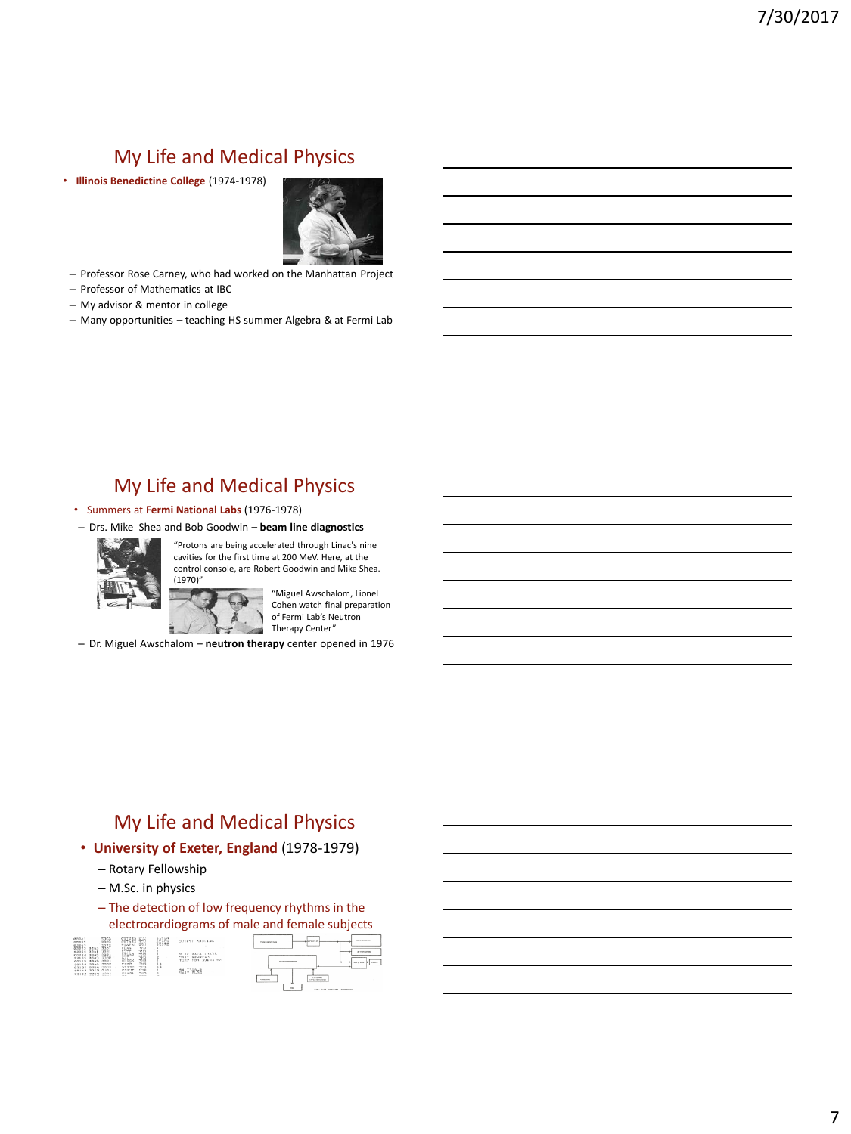# My Life and Medical Physics

• **Illinois Benedictine College** (1974-1978)



- Professor Rose Carney, who had worked on the Manhattan Project
- Professor of Mathematics at IBC
- My advisor & mentor in college
- Many opportunities teaching HS summer Algebra & at Fermi Lab

## My Life and Medical Physics

- Summers at **Fermi National Labs** (1976-1978)
- Drs. Mike Shea and Bob Goodwin **beam line diagnostics**



"Protons are being accelerated through Linac's nine cavities for the first time at 200 MeV. Here, at the control console, are Robert Goodwin and Mike Shea. (1970)"

> "Miguel Awschalom, Lionel Cohen watch final preparation of Fermi Lab's Neutron Therapy Center" si

 $\overline{\mathcal{L}}$ – Dr. Miguel Awschalom – **neutron therapy** center opened in 1976

# My Life and Medical Physics

- **University of Exeter, England** (1978-1979)
	- Rotary Fellowship
	- M.Sc. in physics
	- The detection of low frequency rhythms in the